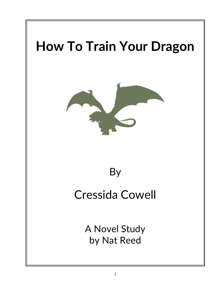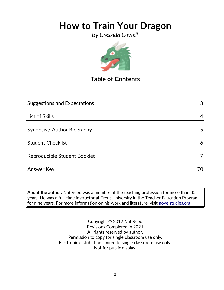*By Cressida Cowell*



## **Table of Contents**

| <b>Suggestions and Expectations</b> | 3 |
|-------------------------------------|---|
|                                     |   |
| List of Skills                      | 4 |
|                                     |   |
| Synopsis / Author Biography         | 5 |
|                                     |   |
| <b>Student Checklist</b>            | 6 |
|                                     |   |
| Reproducible Student Booklet        |   |
|                                     |   |
| Answer Key                          |   |
|                                     |   |

**About the author:** Nat Reed was a member of the teaching profession for more than 35 years. He was a full-time instructor at Trent University in the Teacher Education Program for nine years. For more information on his work and literature, visit [novelstudies.org.](http://www.novelstudies.org/)

> Copyright © 2012 Nat Reed Revisions Completed in 2021 All rights reserved by author. Permission to copy for single classroom use only. Electronic distribution limited to single classroom use only. Not for public display.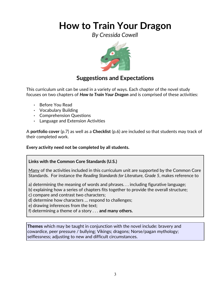*By Cressida Cowell*



### **Suggestions and Expectations**

This curriculum unit can be used in a variety of ways. Each chapter of the novel study focuses on two chapters of *How to Train Your Dragon* and is comprised of these activities:

- Before You Read
- Vocabulary Building
- Comprehension Questions
- Language and Extension Activities

A **portfolio cover** (p.7) as well as a **Checklist** (p.6) are included so that students may track of their completed work.

**Every activity need not be completed by all students.** 

### **Links with the Common Core Standards (U.S.)**

Many of the activities included in this curriculum unit are supported by the Common Core Standards. For instance the *Reading Standards for Literature, Grade 5*, makes reference to

a) determining the meaning of words and phrases. . . including figurative language;

- b) explaining how a series of chapters fits together to provide the overall structure;
- c) compare and contrast two characters;
- d) determine how characters … respond to challenges;
- e) drawing inferences from the text;
- f) determining a theme of a story . . . **and many others.**

**Themes** which may be taught in conjunction with the novel include: bravery and cowardice, peer pressure / bullying; Vikings; dragons; Norse/pagan mythology; selflessness; adjusting to new and difficult circumstances.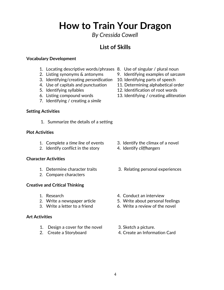*By Cressida Cowell*

## **List of Skills**

#### **Vocabulary Development**

- 1. Locating descriptive words/phrases 8. Use of singular / plural noun
- 
- 3. Identifying/creating *personification* 10. Identifying parts of speech
- 4. Use of capitals and punctuation 11. Determining alphabetical order
- 
- 
- 7. Identifying / creating a *simile*

#### **Setting Activities**

1. Summarize the details of a setting

#### **Plot Activities**

- 1. Complete a *time line* of events 3. Identify the climax of a novel
- 2. Identify conflict in the story 4. Identify *cliffhangers*

#### **Character Activities**

- 
- 2. Compare characters

#### **Creative and Critical Thinking**

- 
- 
- 

#### **Art Activities**

- 1. Design a cover for the novel 3. Sketch a picture.
- 
- 
- 2. Listing synonyms & antonyms 9. Identifying examples of *sarcasm*
	-
	-
- 5. Identifying syllables 12. Identification of root words
- 6. Listing compound words 13. Identifying / creating *alliteration*

- 
- 
- 1. Determine character traits 3. Relating personal experiences
- 1. Research 2. Conduct an interview
- 2. Write a newspaper article 5. Write about personal feelings
- 3. Write a letter to a friend 6. Write a review of the novel
	-
- 2. Create a Storyboard 2. Create an Information Card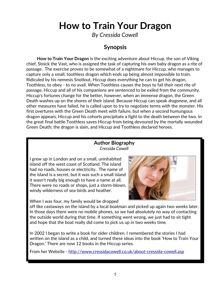*By Cressida Cowell*

### **Synopsis**

 **How to Train Your Dragon** is the exciting adventure about Hiccup, the son of Viking chief, Stoick the Vast, who is assigned the task of capturing his own baby dragon as a rite of passage. The exercise proves to be somewhat of a nightmare for Hiccup, who manages to capture only a small, toothless dragon which ends up being almost impossible to train. Ridiculed by his nemesis Snotlout, Hiccup does everything he can to get his dragon, Toothless, to obey - to no avail. When Toothless causes the boys to fail their next rite of passage, Hiccup and all of his companions are sentenced to be exiled from the community. Hiccup's fortunes change for the better, however, when an immense dragon, the Green Death washes up on the shores of their island. Because Hiccup can speak *dragonese*, and all other measures have failed, he is called upon to try to negotiate terms with the monster. His first overtures with the Green Death meet with failure, but when a second humungous dragon appears, Hiccup and his cohorts precipitate a fight to the death between the two. In the great final battle Toothless saves Hiccup from being devoured by the mortally wounded Green Death; the dragon is slain, and Hiccup and Toothless declared heroes.

#### **Author Biography** *Cressida Cowell*

I grew up in London and on a small, uninhabited island off the west coast of Scotland. The island had no roads, houses or electricity. The name of the island is a secret, but it was such a small island it wasn't really big enough to have a name at all. There were no roads or shops, just a storm-blown, windy wilderness of sea-birds and heather.



When I was four, my family would be dropped

off like castaways on the island by a local boatman and picked up again two weeks later. In those days there were no mobile phones, so we had absolutely no way of contacting the outside world during that time. If something went wrong, we just had to sit tight and hope that the boat really did come to pick us up in two weeks time.

In 2002 I began to write a book for older children. I remembered the stories I had written on the island as a child, and turned these ideas into the book 'How to Train Your Dragon.' There are now 12 books in the Hiccup series.

From her Website -<http://www.cressidacowell.co.uk/about-cressida-cowell.asp>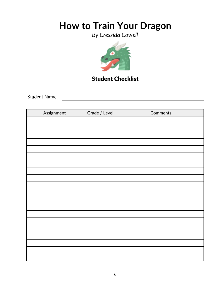*By Cressida Cowell*



## Student Checklist

Student Name

| Assignment | Grade / Level | Comments |
|------------|---------------|----------|
|            |               |          |
|            |               |          |
|            |               |          |
|            |               |          |
|            |               |          |
|            |               |          |
|            |               |          |
|            |               |          |
|            |               |          |
|            |               |          |
|            |               |          |
|            |               |          |
|            |               |          |
|            |               |          |
|            |               |          |
|            |               |          |
|            |               |          |
|            |               |          |
|            |               |          |
|            |               |          |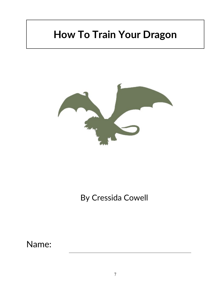

## By Cressida Cowell

Name: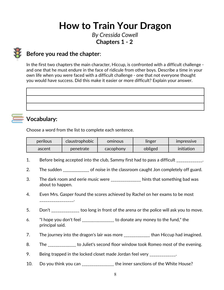*By Cressida Cowell* **Chapters 1 - 2** 

## **Before you read the chapter**:

In the first two chapters the main character, Hiccup, is confronted with a difficult challenge and one that he must endure in the face of ridicule from other boys. Describe a time in your own life when you were faced with a difficult challenge - one that not everyone thought you would have success. Did this make it easier or more difficult? Explain your answer.



### **Vocabulary:**

Choose a word from the list to complete each sentence.

| perilous | <b>claustrophobic</b> | ominous   | linger  | <b>Impressive</b> |
|----------|-----------------------|-----------|---------|-------------------|
| ascent   | penetrate             | cacophony | obliged | initiation        |

- 1. Before being accepted into the club, Sammy first had to pass a difficult 1.
- 2. The sudden \_\_\_\_\_\_\_\_\_\_\_\_\_\_ of noise in the classroom caught Jon completely off guard.
- 3. The dark room and eerie music were \_\_\_\_\_\_\_\_\_\_\_\_\_\_ hints that something bad was about to happen.
- 4. Even Mrs. Gasper found the scores achieved by Rachel on her exams to be most  $\mathcal{L}$  , and the set of the set of the set of the set of the set of the set of the set of the set of the set of the set of the set of the set of the set of the set of the set of the set of the set of the set of the set
- 5. Don't \_\_\_\_\_\_\_\_\_\_\_\_ too long in front of the arena or the police will ask you to move.
- 6. "I hope you don't feel \_\_\_\_\_\_\_\_\_\_\_\_\_\_\_\_ to donate any money to the fund," the principal said.
- 7. The journey into the dragon's lair was more \_\_\_\_\_\_\_\_\_\_\_\_\_ than Hiccup had imagined.
- 8. The \_\_\_\_\_\_\_\_\_\_\_\_\_ to Juliet's second floor window took Romeo most of the evening.
- 9. Being trapped in the locked closet made Jordan feel very \_\_\_\_\_\_\_\_\_\_\_\_.
- 10. Do you think you can \_\_\_\_\_\_\_\_\_\_\_\_\_\_\_\_\_ the inner sanctions of the White House?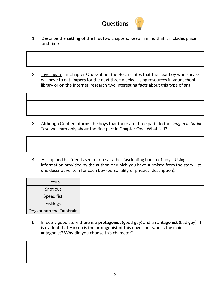

- 1. Describe the **setting** of the first two chapters. Keep in mind that it includes place and time.
- 2. Investigate: In Chapter One Gobber the Belch states that the next boy who speaks will have to eat **limpets** for the next three weeks. Using resources in your school library or on the Internet, research two interesting facts about this type of snail.

- 3. Although Gobber informs the boys that there are three parts to the *Dragon Initiation Test*, we learn only about the first part in Chapter One. What is it?
- 4. Hiccup and his friends seem to be a rather fascinating bunch of boys. Using information provided by the author, or which you have surmised from the story, list one descriptive item for each boy (personality or physical description).

| Hiccup                  |  |
|-------------------------|--|
| Snotlout                |  |
| Speedifist              |  |
| <b>Fishlegs</b>         |  |
| Dogsbreath the Duhbrain |  |

 b. In every good story there is a **protagonist** (good guy) and an **antagonist** (bad guy). It is evident that Hiccup is the protagonist of this novel, but who is the main antagonist? Why did you choose this character?

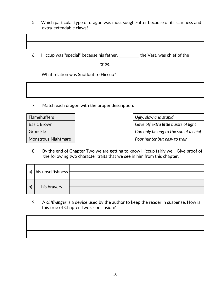- 5. Which particular type of dragon was most sought-after because of its scariness and extra-extendable claws?
- 6. Hiccup was "special" because his father, \_\_\_\_\_\_\_\_\_\_ the Vast, was chief of the

\_\_\_\_\_\_\_\_\_\_\_\_\_ \_\_\_\_\_\_\_\_\_\_\_\_\_\_\_ tribe.

What relation was Snotlout to Hiccup?

7. Match each dragon with the proper description:

| <b>Flamehuffers</b>        | Ugly, slow and stupid.                |
|----------------------------|---------------------------------------|
| <b>Basic Brown</b>         | Gave off extra little bursts of light |
| Gronckle                   | Can only belong to the son of a chief |
| <b>Monstrous Nightmare</b> | Poor hunter but easy to train         |

 8. By the end of Chapter Two we are getting to know Hiccup fairly well. Give proof of the following two character traits that we see in him from this chapter:

|    | a)   his unselfishness $\vert$ |  |
|----|--------------------------------|--|
|    |                                |  |
| b) |                                |  |
|    | his bravery                    |  |

 9. A *cliffhanger* is a device used by the author to keep the reader in suspense. How is this true of Chapter Two's conclusion?

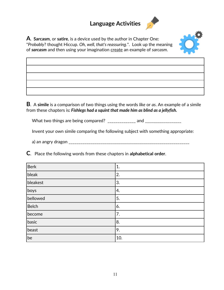## **Language Activities**





**B**. A **simile** is a comparison of two things using the words *like* or *as*. An example of a simile from these chapters is*: Fishlegs had a squint that made him as blind as a jellyfish.*

What two things are being compared? \_\_\_\_\_\_\_\_\_\_\_\_\_\_ and \_\_\_\_\_\_\_\_\_\_\_\_\_\_\_\_\_\_

Invent your own simile comparing the following subject with something appropriate:

a) an angry dragon \_\_\_\_\_\_\_\_\_\_\_\_\_\_\_\_\_\_\_\_\_\_\_\_\_\_\_\_\_\_\_\_\_\_\_\_\_\_\_\_\_\_\_\_\_\_\_\_\_\_\_\_\_\_\_\_\_\_\_\_

**C**. Place the following words from these chapters in **alphabetical order**.

| <b>Berk</b> | 1.  |
|-------------|-----|
| bleak       | 2.  |
| bleakest    | 3.  |
| boys        | 4.  |
| bellowed    | 5.  |
| Belch       | 6.  |
| become      | 7.  |
| basic       | 8.  |
| beast       | 9.  |
| be          | 10. |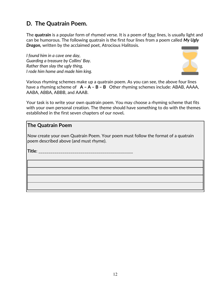## **D. The Quatrain Poem.**

The **quatrain** is a popular form of rhymed verse. It is a poem of four lines, is usually light and can be humorous. The following quatrain is the first four lines from a poem called *My Ugly Dragon,* written by the acclaimed poet, Atrocious Halitosis.

*I found him in a cave one day, Guarding a treasure by Collins' Bay. Rather than slay the ugly thing, I rode him home and made him king.*



Various rhyming schemes make up a quatrain poem. As you can see, the above four lines have a rhyming scheme of **A – A – B – B** Other rhyming schemes include: ABAB, AAAA, AABA, ABBA, ABBB, and AAAB.

Your task is to write your own quatrain poem. You may choose a rhyming scheme that fits with your own personal creation. The theme should have something to do with the themes established in the first seven chapters of our novel*.*

### **The Quatrain Poem**

Now create your own Quatrain Poem. Your poem must follow the format of a quatrain poem described above (and must rhyme).

**Title**: \_\_\_\_\_\_\_\_\_\_\_\_\_\_\_\_\_\_\_\_\_\_\_\_\_\_\_\_\_\_\_\_\_\_\_\_\_\_\_\_\_\_\_\_\_\_\_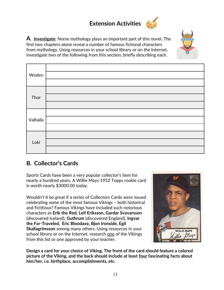## **Extension Activities**

**A**. **Investigate**: Norse mythology plays an important part of this novel. The first two chapters alone reveal a number of famous fictional characters from mythology. Using resources in your school library or on the Internet, investigate two of the following from this section, briefly describing each.



| Woden    |  |
|----------|--|
| Thor     |  |
| Valhalla |  |
| Loki     |  |

### **B. Collector's Cards**

Sports Cards have been a very popular collector's item for nearly a hundred years. A Willie Mays 1952 Topps rookie card is worth nearly \$3000.00 today.

Wouldn't it be great if a series of Collectors Cards were issued celebrating some of the most famous Vikings – both historical and fictitious? Famous Vikings have included such notorious characters as **Erik the Red, Leif Eriksson, Gardar Svavarsson**  (discovered Iceland), **Guthrum** (discovered England), **Ingvar the Far-Traveled, Eric Bloodaxe, Bjon Ironside, Egil Skallagrimsson** among many others. Using resources in your school library or on the Internet, research one of the Vikings from this list or one approved by your teacher.



**Design a card for your choice of Viking. The front of the card should feature a colored picture of the Viking, and the back should include at least four fascinating facts about him/her, i.e. birthplace, accomplishments, etc.**